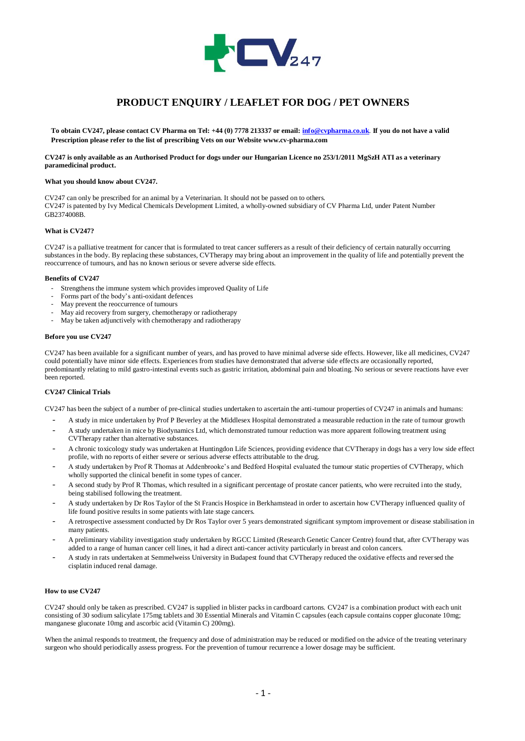

# **PRODUCT ENQUIRY / LEAFLET FOR DOG / PET OWNERS**

**To obtain CV247, please contact CV Pharma on Tel: +44 (0) 7778 213337 or email[: info@cvpharma.co.uk](mailto:info@cvpharma.co.uk)**. **If you do not have a valid Prescription please refer to the list of prescribing Vets on our Website www.cv-pharma.com**

**CV247 is only available as an Authorised Product for dogs under our Hungarian Licence no 253/1/2011 MgSzH ATI as a veterinary paramedicinal product.**

#### **What you should know about CV247.**

CV247 can only be prescribed for an animal by a Veterinarian. It should not be passed on to others.

CV247 is patented by Ivy Medical Chemicals Development Limited, a wholly-owned subsidiary of CV Pharma Ltd, under Patent Number GB2374008B.

## **What is CV247?**

CV247 is a palliative treatment for cancer that is formulated to treat cancer sufferers as a result of their deficiency of certain naturally occurring substances in the body. By replacing these substances, CVTherapy may bring about an improvement in the quality of life and potentially prevent the reoccurrence of tumours, and has no known serious or severe adverse side effects.

#### **Benefits of CV247**

- Strengthens the immune system which provides improved Quality of Life
- Forms part of the body's anti-oxidant defences
- May prevent the reoccurrence of tumours
- May aid recovery from surgery, chemotherapy or radiotherapy
- May be taken adjunctively with chemotherapy and radiotherapy

#### **Before you use CV247**

CV247 has been available for a significant number of years, and has proved to have minimal adverse side effects. However, like all medicines, CV247 could potentially have minor side effects. Experiences from studies have demonstrated that adverse side effects are occasionally reported, predominantly relating to mild gastro-intestinal events such as gastric irritation, abdominal pain and bloating. No serious or severe reactions have ever been reported.

## **CV247 Clinical Trials**

CV247 has been the subject of a number of pre-clinical studies undertaken to ascertain the anti-tumour properties of CV247 in animals and humans:

- A study in mice undertaken by Prof P Beverley at the Middlesex Hospital demonstrated a measurable reduction in the rate of tumour growth
- A study undertaken in mice by Biodynamics Ltd, which demonstrated tumour reduction was more apparent following treatment using CVTherapy rather than alternative substances.
- A chronic toxicology study was undertaken at Huntingdon Life Sciences, providing evidence that CVTherapy in dogs has a very low side effect profile, with no reports of either severe or serious adverse effects attributable to the drug.
- A study undertaken by Prof R Thomas at Addenbrooke's and Bedford Hospital evaluated the tumour static properties of CVTherapy, which wholly supported the clinical benefit in some types of cancer.
- A second study by Prof R Thomas, which resulted in a significant percentage of prostate cancer patients, who were recruited into the study, being stabilised following the treatment.
- A study undertaken by Dr Ros Taylor of the St Francis Hospice in Berkhamstead in order to ascertain how CVTherapy influenced quality of life found positive results in some patients with late stage cancers.
- A retrospective assessment conducted by Dr Ros Taylor over 5 years demonstrated significant symptom improvement or disease stabilisation in many patients.
- A preliminary viability investigation study undertaken by RGCC Limited (Research Genetic Cancer Centre) found that, after CVTherapy was added to a range of human cancer cell lines, it had a direct anti-cancer activity particularly in breast and colon cancers.
- A study in rats undertaken at Semmelweiss University in Budapest found that CVTherapy reduced the oxidative effects and reversed the cisplatin induced renal damage.

## **How to use CV247**

CV247 should only be taken as prescribed. CV247 is supplied in blister packs in cardboard cartons. CV247 is a combination product with each unit consisting of 30 sodium salicylate 175mg tablets and 30 Essential Minerals and Vitamin C capsules (each capsule contains copper gluconate 10mg; manganese gluconate 10mg and ascorbic acid (Vitamin C) 200mg).

When the animal responds to treatment, the frequency and dose of administration may be reduced or modified on the advice of the treating veterinary surgeon who should periodically assess progress. For the prevention of tumour recurrence a lower dosage may be sufficient.